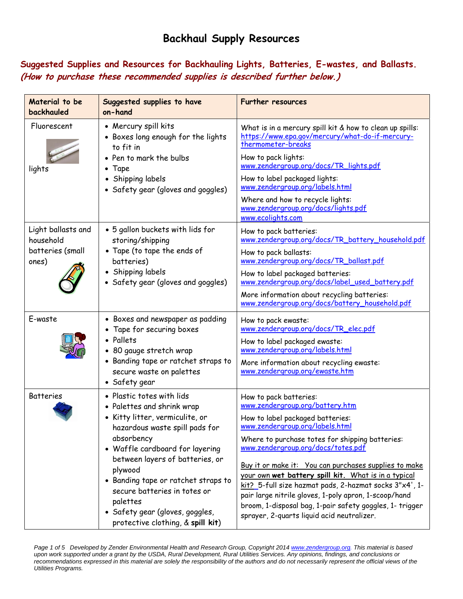# **Backhaul Supply Resources**

**Suggested Supplies and Resources for Backhauling Lights, Batteries, E-wastes, and Ballasts. (How to purchase these recommended supplies is described further below.)** 

| Material to be<br>backhauled                                 | Suggested supplies to have<br>on-hand                                                                                                                                                                                                                                                                                                                                                  | <b>Further resources</b>                                                                                                                                                                                                                                                                                                                                                                                                                                                                                                                                                |
|--------------------------------------------------------------|----------------------------------------------------------------------------------------------------------------------------------------------------------------------------------------------------------------------------------------------------------------------------------------------------------------------------------------------------------------------------------------|-------------------------------------------------------------------------------------------------------------------------------------------------------------------------------------------------------------------------------------------------------------------------------------------------------------------------------------------------------------------------------------------------------------------------------------------------------------------------------------------------------------------------------------------------------------------------|
| Fluorescent<br>lights                                        | • Mercury spill kits<br>• Boxes long enough for the lights<br>to fit in<br>• Pen to mark the bulbs<br>Tape<br>Shipping labels<br>$\bullet$<br>• Safety gear (gloves and goggles)                                                                                                                                                                                                       | What is in a mercury spill kit & how to clean up spills:<br>https://www.epa.gov/mercury/what-do-if-mercury-<br>thermometer-breaks<br>How to pack lights:<br>www.zendergroup.org/docs/TR_lights.pdf<br>How to label packaged lights:<br>www.zendergroup.org/labels.html<br>Where and how to recycle lights:<br>www.zendergroup.org/docs/lights.pdf<br>www.ecolights.com                                                                                                                                                                                                  |
| Light ballasts and<br>household<br>batteries (small<br>ones) | • 5 gallon buckets with lids for<br>storing/shipping<br>• Tape (to tape the ends of<br>batteries)<br>• Shipping labels<br>• Safety gear (gloves and goggles)                                                                                                                                                                                                                           | How to pack batteries:<br>www.zendergroup.org/docs/TR_battery_household.pdf<br>How to pack ballasts:<br>www.zendergroup.org/docs/TR_ballast.pdf<br>How to label packaged batteries:<br>www.zendergroup.org/docs/label_used_battery.pdf<br>More information about recycling batteries:<br>www.zendergroup.org/docs/battery_household.pdf                                                                                                                                                                                                                                 |
| E-waste                                                      | • Boxes and newspaper as padding<br>Tape for securing boxes<br>• Pallets<br>80 gauge stretch wrap<br>$\bullet$<br>• Banding tape or ratchet straps to<br>secure waste on palettes<br>• Safety gear                                                                                                                                                                                     | How to pack ewaste:<br>www.zendergroup.org/docs/TR_elec.pdf<br>How to label packaged ewaste:<br>www.zendergroup.org/labels.html<br>More information about recycling ewaste:<br>www.zendergroup.org/ewaste.htm                                                                                                                                                                                                                                                                                                                                                           |
| <b>Batteries</b>                                             | • Plastic totes with lids<br>• Palettes and shrink wrap<br>• Kitty litter, vermiculite, or<br>hazardous waste spill pads for<br>absorbency<br>• Waffle cardboard for layering<br>between layers of batteries, or<br>plywood<br>• Banding tape or ratchet straps to<br>secure batteries in totes or<br>palettes<br>• Safety gear (gloves, goggles,<br>protective clothing, & spill kit) | How to pack batteries:<br>www.zendergroup.org/battery.htm<br>How to label packaged batteries:<br>www.zendergroup.org/labels.html<br>Where to purchase totes for shipping batteries:<br>www.zendergroup.org/docs/totes.pdf<br>Buy it or make it: You can purchases supplies to make<br>your own wet battery spill kit. What is in a typical<br>kit?_5-full size hazmat pads, 2-hazmat socks 3"x4', 1-<br>pair large nitrile gloves, 1-poly apron, 1-scoop/hand<br>broom, 1-disposal bag, 1-pair safety goggles, 1- trigger<br>sprayer, 2-quarts liquid acid neutralizer. |

*Page 1 of 5 Developed by Zender Environmental Health and Research Group, Copyright 2014 www.zendergroup.org. This material is based upon work supported under a grant by the USDA, Rural Development, Rural Utilities Services. Any opinions, findings, and conclusions or*  recommendations expressed in this material are solely the responsibility of the authors and do not necessarily represent the official views of the *Utilities Programs.*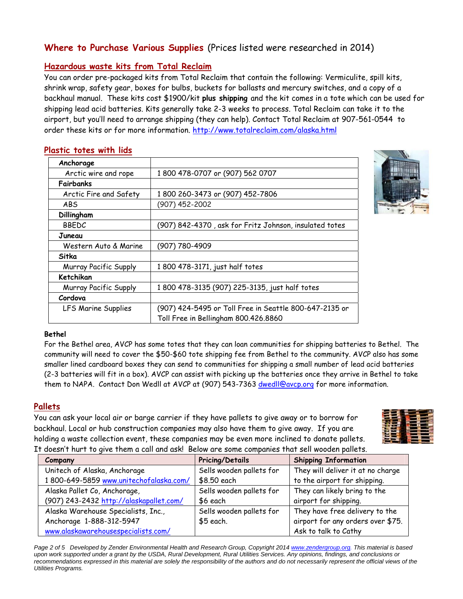## **Where to Purchase Various Supplies** (Prices listed were researched in 2014)

### **Hazardous waste kits from Total Reclaim**

You can order pre-packaged kits from Total Reclaim that contain the following: Vermiculite, spill kits, shrink wrap, safety gear, boxes for bulbs, buckets for ballasts and mercury switches, and a copy of a backhaul manual. These kits cost \$1900/kit **plus shipping** and the kit comes in a tote which can be used for shipping lead acid batteries. Kits generally take 2-3 weeks to process. Total Reclaim can take it to the airport, but you'll need to arrange shipping (they can help). Contact Total Reclaim at 907-561-0544 to order these kits or for more information. http://www.totalreclaim.com/alaska.html

| Anchorage                  |                                                        |
|----------------------------|--------------------------------------------------------|
| Arctic wire and rope       | 1 800 478-0707 or (907) 562 0707                       |
| Fairbanks                  |                                                        |
| Arctic Fire and Safety     | 1800 260-3473 or (907) 452-7806                        |
| ABS                        | (907) 452-2002                                         |
| Dillingham                 |                                                        |
| <b>BBEDC</b>               | (907) 842-4370, ask for Fritz Johnson, insulated totes |
| Juneau                     |                                                        |
| Western Auto & Marine      | (907) 780-4909                                         |
| Sitka                      |                                                        |
| Murray Pacific Supply      | 1 800 478-3171, just half totes                        |
| Ketchikan                  |                                                        |
| Murray Pacific Supply      | 1 800 478-3135 (907) 225-3135, just half totes         |
| Cordova                    |                                                        |
| <b>LFS Marine Supplies</b> | (907) 424-5495 or Toll Free in Seattle 800-647-2135 or |
|                            | Toll Free in Bellingham 800.426.8860                   |

#### **Plastic totes with lids**

#### **Bethel**

For the Bethel area, AVCP has some totes that they can loan communities for shipping batteries to Bethel. The community will need to cover the \$50-\$60 tote shipping fee from Bethel to the community. AVCP also has some smaller lined cardboard boxes they can send to communities for shipping a small number of lead acid batteries (2-3 batteries will fit in a box). AVCP can assist with picking up the batteries once they arrive in Bethel to take them to NAPA. Contact Don Wedll at AVCP at (907) 543-7363 dwedll@avcp.org for more information.

### **Pallets**

You can ask your local air or barge carrier if they have pallets to give away or to borrow for backhaul. Local or hub construction companies may also have them to give away. If you are holding a waste collection event, these companies may be even more inclined to donate pallets. It doesn't hurt to give them a call and ask! Below are some companies that sell wooden pallets.



|         | abesting that in 10 give Them a can and ask! Below are some companies that sell wooden panels. |                          |                                   |  |
|---------|------------------------------------------------------------------------------------------------|--------------------------|-----------------------------------|--|
| Company |                                                                                                | <b>Pricing/Details</b>   | <b>Shipping Information</b>       |  |
|         | Unitech of Alaska, Anchorage                                                                   | Sells wooden pallets for | They will deliver it at no charge |  |
|         | 1800-649-5859 www.unitechofalaska.com/                                                         | \$8.50 each              | to the airport for shipping.      |  |
|         | Alaska Pallet Co, Anchorage,                                                                   | Sells wooden pallets for | They can likely bring to the      |  |
|         | (907) 243-2432 http://alaskapallet.com/                                                        | \$6 each                 | airport for shipping.             |  |
|         | Alaska Warehouse Specialists, Inc.,                                                            | Sells wooden pallets for | They have free delivery to the    |  |
|         | Anchorage 1-888-312-5947                                                                       | \$5 each.                | airport for any orders over \$75. |  |
|         | www.alaskawarehousespecialists.com/                                                            |                          | Ask to talk to Cathy              |  |

*Page 2 of 5 Developed by Zender Environmental Health and Research Group, Copyright 2014 www.zendergroup.org. This material is based upon work supported under a grant by the USDA, Rural Development, Rural Utilities Services. Any opinions, findings, and conclusions or*  recommendations expressed in this material are solely the responsibility of the authors and do not necessarily represent the official views of the *Utilities Programs.*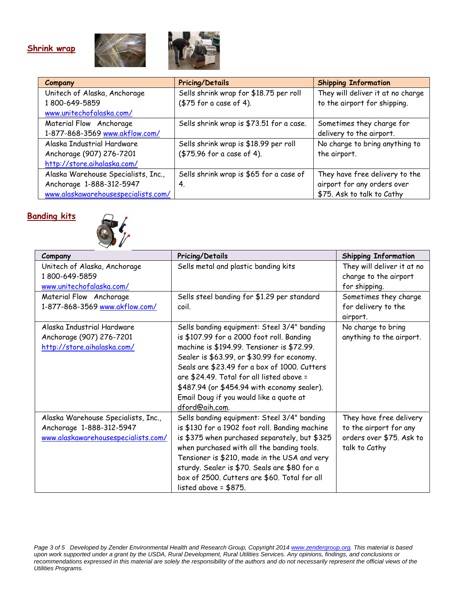### **Shrink wrap**





| Company                             | <b>Pricing/Details</b>                   | <b>Shipping Information</b>       |
|-------------------------------------|------------------------------------------|-----------------------------------|
| Unitech of Alaska, Anchorage        | Sells shrink wrap for \$18.75 per roll   | They will deliver it at no charge |
| 1800-649-5859                       | (\$75 for a case of 4).                  | to the airport for shipping.      |
| www.unitechofalaska.com/            |                                          |                                   |
| Material Flow Anchorage             | Sells shrink wrap is \$73.51 for a case. | Sometimes they charge for         |
| 1-877-868-3569 www.akflow.com/      |                                          | delivery to the airport.          |
| Alaska Industrial Hardware          | Sells shrink wrap is \$18.99 per roll    | No charge to bring anything to    |
| Anchorage (907) 276-7201            | (\$75.96 for a case of 4).               | the airport.                      |
| http://store.aihalaska.com/         |                                          |                                   |
| Alaska Warehouse Specialists, Inc., | Sells shrink wrap is \$65 for a case of  | They have free delivery to the    |
| Anchorage 1-888-312-5947            | 4.                                       | airport for any orders over       |
| www.alaskawarehousespecialists.com/ |                                          | \$75. Ask to talk to Cathy        |

# **Banding kits**



| Company                             | <b>Pricing/Details</b>                         | <b>Shipping Information</b> |
|-------------------------------------|------------------------------------------------|-----------------------------|
| Unitech of Alaska, Anchorage        | Sells metal and plastic banding kits           | They will deliver it at no  |
| 1800-649-5859                       |                                                | charge to the airport       |
| www.unitechofalaska.com/            |                                                | for shipping.               |
| Material Flow Anchorage             | Sells steel banding for \$1.29 per standard    | Sometimes they charge       |
| 1-877-868-3569 www.akflow.com/      | coil.                                          | for delivery to the         |
|                                     |                                                | airport.                    |
| Alaska Industrial Hardware          | Sells banding equipment: Steel 3/4" banding    | No charge to bring          |
| Anchorage (907) 276-7201            | is \$107.99 for a 2000 foot roll. Banding      | anything to the airport.    |
| http://store.aihalaska.com/         | machine is \$194.99. Tensioner is \$72.99.     |                             |
|                                     | Sealer is \$63.99, or \$30.99 for economy.     |                             |
|                                     | Seals are \$23.49 for a box of 1000. Cutters   |                             |
|                                     | are \$24.49. Total for all listed above =      |                             |
|                                     | \$487.94 (or \$454.94 with economy sealer).    |                             |
|                                     | Email Doug if you would like a quote at        |                             |
|                                     | dford@aih.com.                                 |                             |
| Alaska Warehouse Specialists, Inc., | Sells banding equipment: Steel 3/4" banding    | They have free delivery     |
| Anchorage 1-888-312-5947            | is \$130 for a 1902 foot roll. Banding machine | to the airport for any      |
| www.alaskawarehousespecialists.com/ | is \$375 when purchased separately, but \$325  | orders over \$75. Ask to    |
|                                     | when purchased with all the banding tools.     | talk to Cathy               |
|                                     | Tensioner is \$210, made in the USA and very   |                             |
|                                     | sturdy. Sealer is \$70. Seals are \$80 for a   |                             |
|                                     | box of 2500. Cutters are \$60. Total for all   |                             |
|                                     | listed above = $$875$ .                        |                             |

*Page 3 of 5 Developed by Zender Environmental Health and Research Group, Copyright 2014 www.zendergroup.org. This material is based upon work supported under a grant by the USDA, Rural Development, Rural Utilities Services. Any opinions, findings, and conclusions or*  recommendations expressed in this material are solely the responsibility of the authors and do not necessarily represent the official views of the *Utilities Programs.*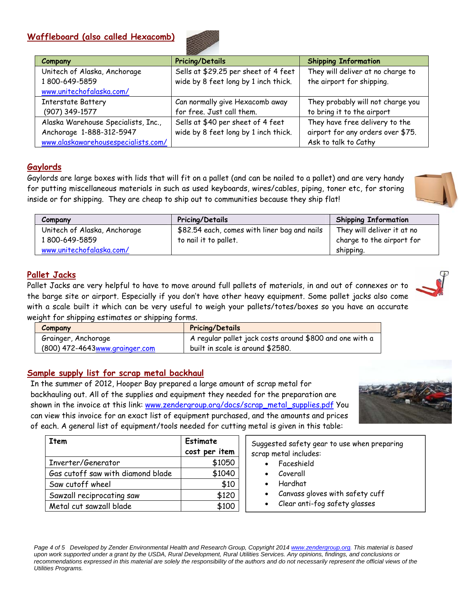### **Waffleboard (also called Hexacomb)**



| <b>Company</b>                      | <b>Pricing/Details</b>               | <b>Shipping Information</b>       |
|-------------------------------------|--------------------------------------|-----------------------------------|
| Unitech of Alaska, Anchorage        | Sells at \$29.25 per sheet of 4 feet | They will deliver at no charge to |
| 1800-649-5859                       | wide by 8 feet long by 1 inch thick. | the airport for shipping.         |
| www.unitechofalaska.com/            |                                      |                                   |
| <b>Interstate Battery</b>           | Can normally give Hexacomb away      | They probably will not charge you |
| (907) 349-1577                      | for free. Just call them.            | to bring it to the airport        |
| Alaska Warehouse Specialists, Inc., | Sells at \$40 per sheet of 4 feet    | They have free delivery to the    |
| Anchorage 1-888-312-5947            | wide by 8 feet long by 1 inch thick. | airport for any orders over \$75. |
| www.alaskawarehousespecialists.com/ |                                      | Ask to talk to Cathy              |

### **Gaylords**

Gaylords are large boxes with lids that will fit on a pallet (and can be nailed to a pallet) and are very handy for putting miscellaneous materials in such as used keyboards, wires/cables, piping, toner etc, for storing inside or for shipping. They are cheap to ship out to communities because they ship flat!

| Company                      | <b>Pricing/Details</b>                       | <b>Shipping Information</b> |
|------------------------------|----------------------------------------------|-----------------------------|
| Unitech of Alaska, Anchorage | \$82.54 each, comes with liner bag and nails | They will deliver it at no  |
| 1800-649-5859                | to nail it to pallet.                        | charge to the airport for   |
| www.unitechofalaska.com/     |                                              | shipping.                   |

### **Pallet Jacks**

Pallet Jacks are very helpful to have to move around full pallets of materials, in and out of connexes or to the barge site or airport. Especially if you don't have other heavy equipment. Some pallet jacks also come with a scale built it which can be very useful to weigh your pallets/totes/boxes so you have an accurate weight for shipping estimates or shipping forms.

| Company                        | <b>Pricing/Details</b>                                  |
|--------------------------------|---------------------------------------------------------|
| Grainger, Anchorage            | A regular pallet jack costs around \$800 and one with a |
| (800) 472-4643www.grainger.com | built in scale is around \$2580.                        |

### **Sample supply list for scrap metal backhaul**

In the summer of 2012, Hooper Bay prepared a large amount of scrap metal for backhauling out. All of the supplies and equipment they needed for the preparation are shown in the invoice at this link: www.zendergroup.org/docs/scrap\_metal\_supplies.pdf You can view this invoice for an exact list of equipment purchased, and the amounts and prices of each. A general list of equipment/tools needed for cutting metal is given in this table:



| Item                              | Estimate      | Suggested safety gear to use when preparing  |
|-----------------------------------|---------------|----------------------------------------------|
|                                   | cost per item | scrap metal includes:                        |
| Inverter/Generator                | \$1050        | Faceshield                                   |
| Gas cutoff saw with diamond blade | \$1040        | Coverall<br>٠                                |
| Saw cutoff wheel                  | \$10          | Hardhat                                      |
| Sawzall reciprocating saw         | \$120         | Canvass gloves with safety cuff<br>$\bullet$ |
| Metal cut sawzall blade           | \$100         | Clear anti-fog safety glasses<br>$\bullet$   |

*Page 4 of 5 Developed by Zender Environmental Health and Research Group, Copyright 2014 www.zendergroup.org. This material is based upon work supported under a grant by the USDA, Rural Development, Rural Utilities Services. Any opinions, findings, and conclusions or*  recommendations expressed in this material are solely the responsibility of the authors and do not necessarily represent the official views of the *Utilities Programs.* 

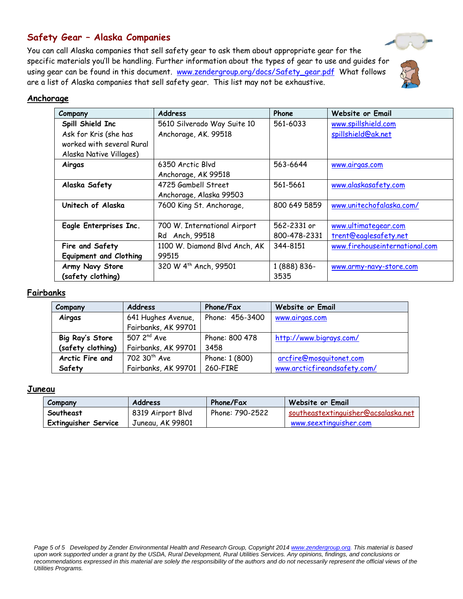## **Safety Gear – Alaska Companies**

You can call Alaska companies that sell safety gear to ask them about appropriate gear for the Safety Gear - Alaska Companies<br>You can call Alaska companies that sell safety gear to ask them about appropriate gear for the<br>specific materials you'll be handling. Further information about the types of gear to use and gu using gear can be found in this document. www.zendergroup.org/docs/Safety\_gear.pdf What follows are a list of Alaska companies that sell safety gear. This list may not be exhaustive.

### **Anchorage**

| Company                       | <b>Address</b>                | Phone        | Website or Email               |
|-------------------------------|-------------------------------|--------------|--------------------------------|
| Spill Shield Inc              | 5610 Silverado Way Suite 10   | 561-6033     | www.spillshield.com            |
| Ask for Kris (she has         | Anchorage, AK. 99518          |              | spillshield@ak.net             |
| worked with several Rural     |                               |              |                                |
| Alaska Native Villages)       |                               |              |                                |
| Airgas                        | 6350 Arctic Blvd              | 563-6644     | www.airgas.com                 |
|                               | Anchorage, AK 99518           |              |                                |
| Alaska Safety                 | 4725 Gambell Street           | 561-5661     | www.alaskasafety.com           |
|                               | Anchorage, Alaska 99503       |              |                                |
| Unitech of Alaska             | 7600 King St. Anchorage,      | 800 649 5859 | www.unitechofalaska.com/       |
|                               |                               |              |                                |
| Eagle Enterprises Inc.        | 700 W. International Airport  | 562-2331 or  | www.ultimategear.com           |
|                               | Anch, 99518<br>Rd             | 800-478-2331 | trent@eaglesafety.net          |
| Fire and Safety               | 1100 W. Diamond Blvd Anch, AK | 344-8151     | www.firehouseinternational.com |
| <b>Equipment and Clothing</b> | 99515                         |              |                                |
| Army Navy Store               | 320 W 4th Anch, 99501         | 1 (888) 836- | www.army-navy-store.com        |
| (safety clothing)             |                               | 3535         |                                |

#### **Fairbanks**

| Company           | <b>Address</b>            | Phone/Fax       | <b>Website or Email</b>      |
|-------------------|---------------------------|-----------------|------------------------------|
| Airgas            | 641 Hughes Avenue,        | Phone: 456-3400 | www.airgas.com               |
|                   | Fairbanks, AK 99701       |                 |                              |
| Big Ray's Store   | $507$ 2 <sup>nd</sup> Ave | Phone: 800 478  | http://www.bigrays.com/      |
| (safety clothing) | Fairbanks, AK 99701       | 3458            |                              |
| Arctic Fire and   | 702 30 <sup>th</sup> Ave  | Phone: 1 (800)  | arcfire@mosquitonet.com      |
| Safety            | Fairbanks, AK 99701       | 260-FIRE        | www.arcticfireandsafety.com/ |

#### **Juneau**

| Company                     | <b>Address</b>    | Phone/Fax       | Website or Email                    |
|-----------------------------|-------------------|-----------------|-------------------------------------|
| Southeast                   | 8319 Airport Blvd | Phone: 790-2522 | southeastextinguisher@acsalaska.net |
| <b>Extinguisher Service</b> | Juneau, AK 99801  |                 | www.seextinguisher.com              |

Page 5 of 5 Developed by Zender Environmental Health and Research Group, Copyright 2014 www.zendergroup.org. This material is based *upon work supported under a grant by the USDA, Rural Development, Rural Utilities Services. Any opinions, findings, and conclusions or*  recommendations expressed in this material are solely the responsibility of the authors and do not necessarily represent the official views of the *Utilities Programs.* 



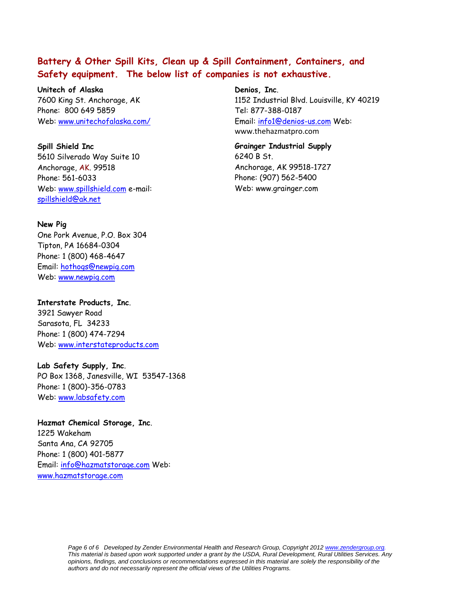## **Battery & Other Spill Kits, Clean up & Spill Containment, Containers, and Safety equipment. The below list of companies is not exhaustive.**

**Unitech of Alaska**  7600 King St. Anchorage, AK Phone: 800 649 5859 Web: www.unitechofalaska.com/

**Spill Shield Inc**  5610 Silverado Way Suite 10 Anchorage, AK. 99518 Phone: 561-6033 Web: www.spillshield.com e-mail: spillshield@ak.net

#### **New Pig**

One Pork Avenue, P.O. Box 304 Tipton, PA 16684-0304 Phone: 1 (800) 468-4647 Email: hothogs@newpig.com Web: www.newpig.com

**Interstate Products, Inc**. 3921 Sawyer Road

Sarasota, FL 34233 Phone: 1 (800) 474-7294 Web: www.interstateproducts.com

#### **Lab Safety Supply, Inc**.

PO Box 1368, Janesville, WI 53547-1368 Phone: 1 (800)-356-0783 Web: www.labsafety.com

#### **Hazmat Chemical Storage, Inc**.

1225 Wakeham Santa Ana, CA 92705 Phone: 1 (800) 401-5877 Email: info@hazmatstorage.com Web: www.hazmatstorage.com

#### **Denios, Inc**.

1152 Industrial Blvd. Louisville, KY 40219 Tel: 877-388-0187 Email: info1@denios-us.com Web: www.thehazmatpro.com

**Grainger Industrial Supply**  6240 B St. Anchorage, AK 99518-1727 Phone: (907) 562-5400 Web: www.grainger.com